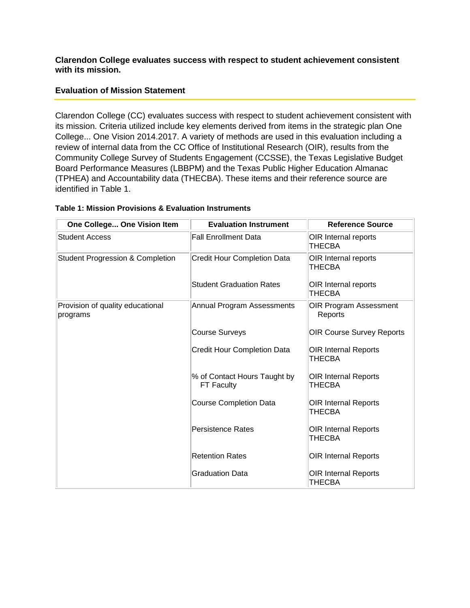#### **Clarendon College evaluates success with respect to student achievement consistent with its mission.**

### **Evaluation of Mission Statement**

Clarendon College (CC) evaluates success with respect to student achievement consistent with its mission. Criteria utilized include key elements derived from items in the strategic plan One College... One Vision 2014.2017. A variety of methods are used in this evaluation including a review of internal data from the CC Office of Institutional Research (OIR), results from the Community College Survey of Students Engagement (CCSSE), the Texas Legislative Budget Board Performance Measures (LBBPM) and the Texas Public Higher Education Almanac (TPHEA) and Accountability data (THECBA). These items and their reference source are identified in Table 1.

| One College One Vision Item                  | <b>Evaluation Instrument</b>                      | <b>Reference Source</b>               |
|----------------------------------------------|---------------------------------------------------|---------------------------------------|
| <b>Student Access</b>                        | <b>Fall Enrollment Data</b>                       | OIR Internal reports<br>THECBA        |
| <b>Student Progression &amp; Completion</b>  | <b>Credit Hour Completion Data</b>                | OIR Internal reports<br>THECBA        |
|                                              | <b>Student Graduation Rates</b>                   | OIR Internal reports<br>THECBA        |
| Provision of quality educational<br>programs | Annual Program Assessments                        | OIR Program Assessment<br>Reports     |
|                                              | <b>Course Surveys</b>                             | <b>OIR Course Survey Reports</b>      |
|                                              | Credit Hour Completion Data                       | OIR Internal Reports<br>THECBA        |
|                                              | % of Contact Hours Taught by<br><b>FT Faculty</b> | <b>OIR Internal Reports</b><br>THECBA |
|                                              | <b>Course Completion Data</b>                     | <b>OIR Internal Reports</b><br>THECBA |
|                                              | <b>Persistence Rates</b>                          | OIR Internal Reports<br>THECBA        |
|                                              | <b>Retention Rates</b>                            | <b>OIR Internal Reports</b>           |
|                                              | <b>Graduation Data</b>                            | <b>OIR Internal Reports</b><br>THECBA |

#### **Table 1: Mission Provisions & Evaluation Instruments**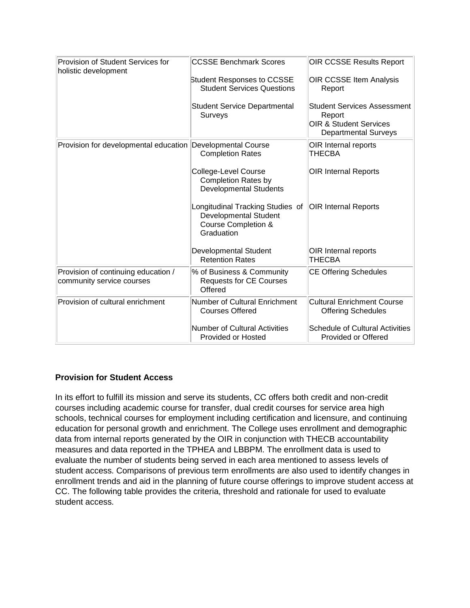| Provision of Student Services for<br>holistic development        | <b>CCSSE Benchmark Scores</b>                                                                         | <b>OIR CCSSE Results Report</b>                                                                                  |
|------------------------------------------------------------------|-------------------------------------------------------------------------------------------------------|------------------------------------------------------------------------------------------------------------------|
|                                                                  | <b>Student Responses to CCSSE</b><br><b>Student Services Questions</b>                                | OIR CCSSE Item Analysis<br>Report                                                                                |
|                                                                  | <b>Student Service Departmental</b><br>Surveys                                                        | <b>Student Services Assessment</b><br>Report<br><b>OIR &amp; Student Services</b><br><b>Departmental Surveys</b> |
| Provision for developmental education Developmental Course       | <b>Completion Rates</b>                                                                               | OIR Internal reports<br>THECBA                                                                                   |
|                                                                  | College-Level Course<br><b>Completion Rates by</b><br><b>Developmental Students</b>                   | <b>OIR Internal Reports</b>                                                                                      |
|                                                                  | Longitudinal Tracking Studies of<br><b>Developmental Student</b><br>Course Completion &<br>Graduation | <b>OIR Internal Reports</b>                                                                                      |
|                                                                  | <b>Developmental Student</b><br><b>Retention Rates</b>                                                | OIR Internal reports<br>THECBA                                                                                   |
| Provision of continuing education /<br>community service courses | % of Business & Community<br><b>Requests for CE Courses</b><br>Offered                                | <b>CE Offering Schedules</b>                                                                                     |
| Provision of cultural enrichment                                 | <b>Number of Cultural Enrichment</b><br><b>Courses Offered</b>                                        | <b>Cultural Enrichment Course</b><br><b>Offering Schedules</b>                                                   |
|                                                                  | <b>Number of Cultural Activities</b><br>Provided or Hosted                                            | <b>Schedule of Cultural Activities</b><br>Provided or Offered                                                    |

## **Provision for Student Access**

In its effort to fulfill its mission and serve its students, CC offers both credit and non-credit courses including academic course for transfer, dual credit courses for service area high schools, technical courses for employment including certification and licensure, and continuing education for personal growth and enrichment. The College uses enrollment and demographic data from internal reports generated by the OIR in conjunction with THECB accountability measures and data reported in the TPHEA and LBBPM. The enrollment data is used to evaluate the number of students being served in each area mentioned to assess levels of student access. Comparisons of previous term enrollments are also used to identify changes in enrollment trends and aid in the planning of future course offerings to improve student access at CC. The following table provides the criteria, threshold and rationale for used to evaluate student access.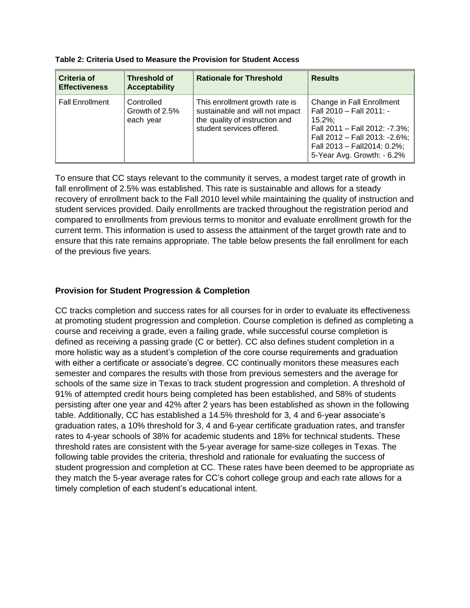| Table 2: Criteria Used to Measure the Provision for Student Access |  |
|--------------------------------------------------------------------|--|
|--------------------------------------------------------------------|--|

| Criteria of<br><b>Effectiveness</b> | Threshold of<br><b>Acceptability</b>      | <b>Rationale for Threshold</b>                                                                                                   | <b>Results</b>                                                                                                                                                                                     |
|-------------------------------------|-------------------------------------------|----------------------------------------------------------------------------------------------------------------------------------|----------------------------------------------------------------------------------------------------------------------------------------------------------------------------------------------------|
| <b>Fall Enrollment</b>              | Controlled<br>Growth of 2.5%<br>each year | This enrollment growth rate is<br>sustainable and will not impact<br>the quality of instruction and<br>student services offered. | Change in Fall Enrollment<br>Fall 2010 - Fall 2011: -<br>$15.2\%$ :<br>Fall 2011 - Fall 2012: -7.3%;<br>Fall 2012 - Fall 2013: -2.6%;<br>Fall 2013 - Fall2014: 0.2%;<br>5-Year Avg. Growth: - 6.2% |

To ensure that CC stays relevant to the community it serves, a modest target rate of growth in fall enrollment of 2.5% was established. This rate is sustainable and allows for a steady recovery of enrollment back to the Fall 2010 level while maintaining the quality of instruction and student services provided. Daily enrollments are tracked throughout the registration period and compared to enrollments from previous terms to monitor and evaluate enrollment growth for the current term. This information is used to assess the attainment of the target growth rate and to ensure that this rate remains appropriate. The table below presents the fall enrollment for each of the previous five years.

## **Provision for Student Progression & Completion**

CC tracks completion and success rates for all courses for in order to evaluate its effectiveness at promoting student progression and completion. Course completion is defined as completing a course and receiving a grade, even a failing grade, while successful course completion is defined as receiving a passing grade (C or better). CC also defines student completion in a more holistic way as a student's completion of the core course requirements and graduation with either a certificate or associate's degree. CC continually monitors these measures each semester and compares the results with those from previous semesters and the average for schools of the same size in Texas to track student progression and completion. A threshold of 91% of attempted credit hours being completed has been established, and 58% of students persisting after one year and 42% after 2 years has been established as shown in the following table. Additionally, CC has established a 14.5% threshold for 3, 4 and 6-year associate's graduation rates, a 10% threshold for 3, 4 and 6-year certificate graduation rates, and transfer rates to 4-year schools of 38% for academic students and 18% for technical students. These threshold rates are consistent with the 5-year average for same-size colleges in Texas. The following table provides the criteria, threshold and rationale for evaluating the success of student progression and completion at CC. These rates have been deemed to be appropriate as they match the 5-year average rates for CC's cohort college group and each rate allows for a timely completion of each student's educational intent.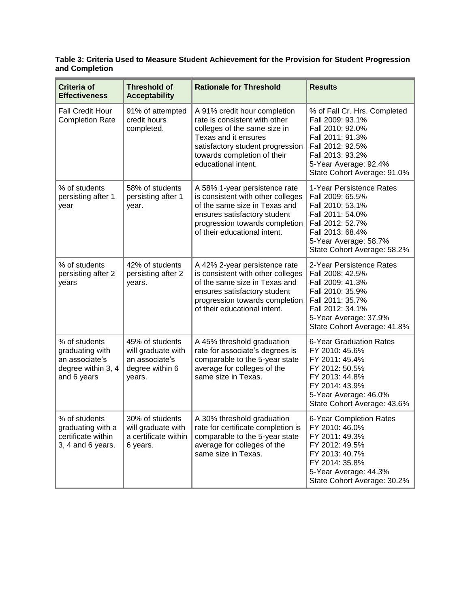#### **Table 3: Criteria Used to Measure Student Achievement for the Provision for Student Progression and Completion**

| <b>Criteria of</b><br><b>Effectiveness</b>                                              | <b>Threshold of</b><br><b>Acceptability</b>                                          | <b>Rationale for Threshold</b>                                                                                                                                                                                  | <b>Results</b>                                                                                                                                                                           |
|-----------------------------------------------------------------------------------------|--------------------------------------------------------------------------------------|-----------------------------------------------------------------------------------------------------------------------------------------------------------------------------------------------------------------|------------------------------------------------------------------------------------------------------------------------------------------------------------------------------------------|
| <b>Fall Credit Hour</b><br><b>Completion Rate</b>                                       | 91% of attempted<br>credit hours<br>completed.                                       | A 91% credit hour completion<br>rate is consistent with other<br>colleges of the same size in<br>Texas and it ensures<br>satisfactory student progression<br>towards completion of their<br>educational intent. | % of Fall Cr. Hrs. Completed<br>Fall 2009: 93.1%<br>Fall 2010: 92.0%<br>Fall 2011: 91.3%<br>Fall 2012: 92.5%<br>Fall 2013: 93.2%<br>5-Year Average: 92.4%<br>State Cohort Average: 91.0% |
| % of students<br>persisting after 1<br>year                                             | 58% of students<br>persisting after 1<br>year.                                       | A 58% 1-year persistence rate<br>is consistent with other colleges<br>of the same size in Texas and<br>ensures satisfactory student<br>progression towards completion<br>of their educational intent.           | 1-Year Persistence Rates<br>Fall 2009: 65.5%<br>Fall 2010: 53.1%<br>Fall 2011: 54.0%<br>Fall 2012: 52.7%<br>Fall 2013: 68.4%<br>5-Year Average: 58.7%<br>State Cohort Average: 58.2%     |
| % of students<br>persisting after 2<br>years                                            | 42% of students<br>persisting after 2<br>years.                                      | A 42% 2-year persistence rate<br>is consistent with other colleges<br>of the same size in Texas and<br>ensures satisfactory student<br>progression towards completion<br>of their educational intent.           | 2-Year Persistence Rates<br>Fall 2008: 42.5%<br>Fall 2009: 41.3%<br>Fall 2010: 35.9%<br>Fall 2011: 35.7%<br>Fall 2012: 34.1%<br>5-Year Average: 37.9%<br>State Cohort Average: 41.8%     |
| % of students<br>graduating with<br>an associate's<br>degree within 3, 4<br>and 6 years | 45% of students<br>will graduate with<br>an associate's<br>degree within 6<br>years. | A 45% threshold graduation<br>rate for associate's degrees is<br>comparable to the 5-year state<br>average for colleges of the<br>same size in Texas.                                                           | <b>6-Year Graduation Rates</b><br>FY 2010: 45.6%<br>FY 2011: 45.4%<br>FY 2012: 50.5%<br>FY 2013: 44.8%<br>FY 2014: 43.9%<br>5-Year Average: 46.0%<br>State Cohort Average: 43.6%         |
| % of students<br>graduating with a<br>certificate within<br>3, 4 and 6 years.           | 30% of students<br>will graduate with<br>a certificate within<br>6 years.            | A 30% threshold graduation<br>rate for certificate completion is<br>comparable to the 5-year state<br>average for colleges of the<br>same size in Texas.                                                        | 6-Year Completion Rates<br>FY 2010: 46.0%<br>FY 2011: 49.3%<br>FY 2012: 49.5%<br>FY 2013: 40.7%<br>FY 2014: 35.8%<br>5-Year Average: 44.3%<br>State Cohort Average: 30.2%                |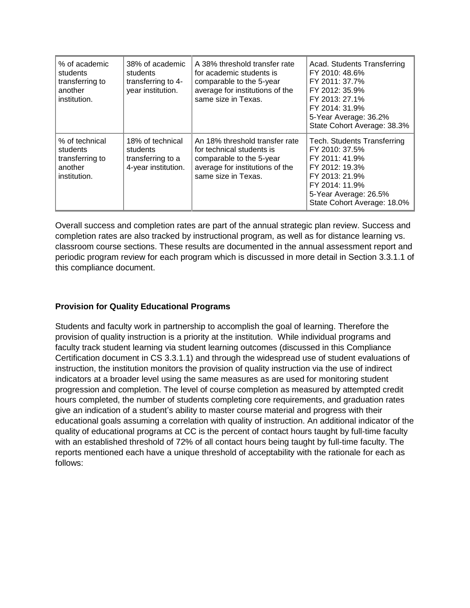| % of academic<br>students<br>transferring to<br>another<br>institution.  | 38% of academic<br>students<br>transferring to 4-<br>year institution.   | A 38% threshold transfer rate<br>for academic students is<br>comparable to the 5-year<br>average for institutions of the<br>same size in Texas.   | Acad. Students Transferring<br>FY 2010: 48.6%<br>FY 2011: 37.7%<br>FY 2012: 35.9%<br>FY 2013: 27.1%<br>FY 2014: 31.9%<br>5-Year Average: 36.2%<br>State Cohort Average: 38.3%        |
|--------------------------------------------------------------------------|--------------------------------------------------------------------------|---------------------------------------------------------------------------------------------------------------------------------------------------|--------------------------------------------------------------------------------------------------------------------------------------------------------------------------------------|
| % of technical<br>students<br>transferring to<br>another<br>institution. | 18% of technical<br>students<br>transferring to a<br>4-year institution. | An 18% threshold transfer rate<br>for technical students is<br>comparable to the 5-year<br>average for institutions of the<br>same size in Texas. | <b>Tech. Students Transferring</b><br>FY 2010: 37.5%<br>FY 2011: 41.9%<br>FY 2012: 19.3%<br>FY 2013: 21.9%<br>FY 2014: 11.9%<br>5-Year Average: 26.5%<br>State Cohort Average: 18.0% |

Overall success and completion rates are part of the annual strategic plan review. Success and completion rates are also tracked by instructional program, as well as for distance learning vs. classroom course sections. These results are documented in the annual assessment report and periodic program review for each program which is discussed in more detail in Section 3.3.1.1 of this compliance document.

## **Provision for Quality Educational Programs**

Students and faculty work in partnership to accomplish the goal of learning. Therefore the provision of quality instruction is a priority at the institution. While individual programs and faculty track student learning via student learning outcomes (discussed in this Compliance Certification document in CS 3.3.1.1) and through the widespread use of student evaluations of instruction, the institution monitors the provision of quality instruction via the use of indirect indicators at a broader level using the same measures as are used for monitoring student progression and completion. The level of course completion as measured by attempted credit hours completed, the number of students completing core requirements, and graduation rates give an indication of a student's ability to master course material and progress with their educational goals assuming a correlation with quality of instruction. An additional indicator of the quality of educational programs at CC is the percent of contact hours taught by full-time faculty with an established threshold of 72% of all contact hours being taught by full-time faculty. The reports mentioned each have a unique threshold of acceptability with the rationale for each as follows: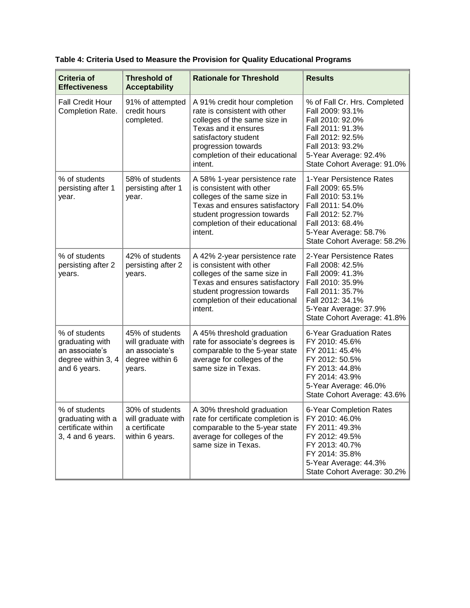| Criteria of<br><b>Effectiveness</b>                                                      | <b>Threshold of</b><br><b>Acceptability</b>                                          | <b>Rationale for Threshold</b>                                                                                                                                                                                     | <b>Results</b>                                                                                                                                                                           |
|------------------------------------------------------------------------------------------|--------------------------------------------------------------------------------------|--------------------------------------------------------------------------------------------------------------------------------------------------------------------------------------------------------------------|------------------------------------------------------------------------------------------------------------------------------------------------------------------------------------------|
| <b>Fall Credit Hour</b><br>Completion Rate.                                              | 91% of attempted<br>credit hours<br>completed.                                       | A 91% credit hour completion<br>rate is consistent with other<br>colleges of the same size in<br>Texas and it ensures<br>satisfactory student<br>progression towards<br>completion of their educational<br>intent. | % of Fall Cr. Hrs. Completed<br>Fall 2009: 93.1%<br>Fall 2010: 92.0%<br>Fall 2011: 91.3%<br>Fall 2012: 92.5%<br>Fall 2013: 93.2%<br>5-Year Average: 92.4%<br>State Cohort Average: 91.0% |
| % of students<br>persisting after 1<br>year.                                             | 58% of students<br>persisting after 1<br>year.                                       | A 58% 1-year persistence rate<br>is consistent with other<br>colleges of the same size in<br>Texas and ensures satisfactory<br>student progression towards<br>completion of their educational<br>intent.           | 1-Year Persistence Rates<br>Fall 2009: 65.5%<br>Fall 2010: 53.1%<br>Fall 2011: 54.0%<br>Fall 2012: 52.7%<br>Fall 2013: 68.4%<br>5-Year Average: 58.7%<br>State Cohort Average: 58.2%     |
| % of students<br>persisting after 2<br>years.                                            | 42% of students<br>persisting after 2<br>years.                                      | A 42% 2-year persistence rate<br>is consistent with other<br>colleges of the same size in<br>Texas and ensures satisfactory<br>student progression towards<br>completion of their educational<br>intent.           | 2-Year Persistence Rates<br>Fall 2008: 42.5%<br>Fall 2009: 41.3%<br>Fall 2010: 35.9%<br>Fall 2011: 35.7%<br>Fall 2012: 34.1%<br>5-Year Average: 37.9%<br>State Cohort Average: 41.8%     |
| % of students<br>graduating with<br>an associate's<br>degree within 3, 4<br>and 6 years. | 45% of students<br>will graduate with<br>an associate's<br>degree within 6<br>years. | A 45% threshold graduation<br>rate for associate's degrees is<br>comparable to the 5-year state<br>average for colleges of the<br>same size in Texas.                                                              | 6-Year Graduation Rates<br>FY 2010: 45.6%<br>FY 2011: 45.4%<br>FY 2012: 50.5%<br>FY 2013: 44.8%<br>FY 2014: 43.9%<br>5-Year Average: 46.0%<br>State Cohort Average: 43.6%                |
| % of students<br>graduating with a<br>certificate within<br>3, 4 and 6 years.            | 30% of students<br>will graduate with<br>a certificate<br>within 6 years.            | A 30% threshold graduation<br>rate for certificate completion is<br>comparable to the 5-year state<br>average for colleges of the<br>same size in Texas.                                                           | 6-Year Completion Rates<br>FY 2010: 46.0%<br>FY 2011: 49.3%<br>FY 2012: 49.5%<br>FY 2013: 40.7%<br>FY 2014: 35.8%<br>5-Year Average: 44.3%<br>State Cohort Average: 30.2%                |

**Table 4: Criteria Used to Measure the Provision for Quality Educational Programs**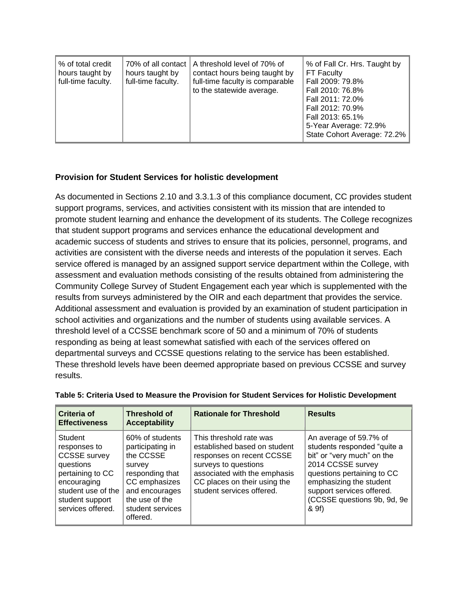| 70% of all contact<br>% of total credit<br>hours taught by<br>hours taught by<br>full-time faculty.<br>full-time faculty. | % of Fall Cr. Hrs. Taught by<br>A threshold level of 70% of<br>FT Faculty<br>contact hours being taught by<br>full-time faculty is comparable<br>Fall 2009: 79.8%<br>to the statewide average.<br>Fall 2010: 76.8%<br>Fall 2011: 72.0%<br>Fall 2012: 70.9%<br>Fall 2013: 65.1%<br>5-Year Average: 72.9%<br>State Cohort Average: 72.2% |
|---------------------------------------------------------------------------------------------------------------------------|----------------------------------------------------------------------------------------------------------------------------------------------------------------------------------------------------------------------------------------------------------------------------------------------------------------------------------------|
|---------------------------------------------------------------------------------------------------------------------------|----------------------------------------------------------------------------------------------------------------------------------------------------------------------------------------------------------------------------------------------------------------------------------------------------------------------------------------|

## **Provision for Student Services for holistic development**

As documented in Sections 2.10 and 3.3.1.3 of this compliance document, CC provides student support programs, services, and activities consistent with its mission that are intended to promote student learning and enhance the development of its students. The College recognizes that student support programs and services enhance the educational development and academic success of students and strives to ensure that its policies, personnel, programs, and activities are consistent with the diverse needs and interests of the population it serves. Each service offered is managed by an assigned support service department within the College, with assessment and evaluation methods consisting of the results obtained from administering the Community College Survey of Student Engagement each year which is supplemented with the results from surveys administered by the OIR and each department that provides the service. Additional assessment and evaluation is provided by an examination of student participation in school activities and organizations and the number of students using available services. A threshold level of a CCSSE benchmark score of 50 and a minimum of 70% of students responding as being at least somewhat satisfied with each of the services offered on departmental surveys and CCSSE questions relating to the service has been established. These threshold levels have been deemed appropriate based on previous CCSSE and survey results.

| Criteria of<br><b>Effectiveness</b>                                                                                                                          | <b>Threshold of</b><br><b>Acceptability</b>                                                                                                                        | <b>Rationale for Threshold</b>                                                                                                                                                                            | <b>Results</b>                                                                                                                                                                                                                         |
|--------------------------------------------------------------------------------------------------------------------------------------------------------------|--------------------------------------------------------------------------------------------------------------------------------------------------------------------|-----------------------------------------------------------------------------------------------------------------------------------------------------------------------------------------------------------|----------------------------------------------------------------------------------------------------------------------------------------------------------------------------------------------------------------------------------------|
| Student<br>responses to<br><b>CCSSE</b> survey<br>questions<br>pertaining to CC<br>encouraging<br>student use of the<br>student support<br>services offered. | 60% of students<br>participating in<br>the CCSSE<br>survey<br>responding that<br>CC emphasizes<br>and encourages<br>the use of the<br>student services<br>offered. | This threshold rate was<br>established based on student<br>responses on recent CCSSE<br>surveys to questions<br>associated with the emphasis<br>CC places on their using the<br>student services offered. | An average of 59.7% of<br>students responded "quite a<br>bit" or "very much" on the<br>2014 CCSSE survey<br>questions pertaining to CC<br>emphasizing the student<br>support services offered.<br>(CCSSE questions 9b, 9d, 9e<br>& 9f) |

#### **Table 5: Criteria Used to Measure the Provision for Student Services for Holistic Development**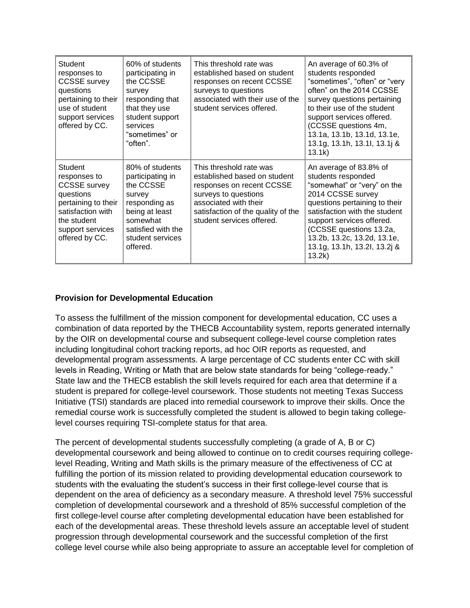| <b>Student</b><br>responses to<br><b>CCSSE</b> survey<br>questions<br>pertaining to their<br>use of student<br>support services<br>offered by CC.            | 60% of students<br>participating in<br>the CCSSE<br>survey<br>responding that<br>that they use<br>student support<br>services<br>"sometimes" or<br>"often".     | This threshold rate was<br>established based on student<br>responses on recent CCSSE<br>surveys to questions<br>associated with their use of the<br>student services offered.                            | An average of 60.3% of<br>students responded<br>"sometimes", "often" or "very<br>often" on the 2014 CCSSE<br>survey questions pertaining<br>to their use of the student<br>support services offered.<br>(CCSSE questions 4m,<br>13.1a, 13.1b, 13.1d, 13.1e,<br>13.1g, 13.1h, 13.1l, 13.1j &<br>13.1k) |
|--------------------------------------------------------------------------------------------------------------------------------------------------------------|-----------------------------------------------------------------------------------------------------------------------------------------------------------------|----------------------------------------------------------------------------------------------------------------------------------------------------------------------------------------------------------|-------------------------------------------------------------------------------------------------------------------------------------------------------------------------------------------------------------------------------------------------------------------------------------------------------|
| Student<br>responses to<br><b>CCSSE</b> survey<br>questions<br>pertaining to their<br>satisfaction with<br>the student<br>support services<br>offered by CC. | 80% of students<br>participating in<br>the CCSSE<br>survey<br>responding as<br>being at least<br>somewhat<br>satisfied with the<br>student services<br>offered. | This threshold rate was<br>established based on student<br>responses on recent CCSSE<br>surveys to questions<br>associated with their<br>satisfaction of the quality of the<br>student services offered. | An average of 83.8% of<br>students responded<br>"somewhat" or "very" on the<br>2014 CCSSE survey<br>questions pertaining to their<br>satisfaction with the student<br>support services offered.<br>(CCSSE questions 13.2a,<br>13.2b, 13.2c, 13.2d, 13.1e,<br>13.1g, 13.1h, 13.2l, 13.2j &<br>13.2k)   |

## **Provision for Developmental Education**

To assess the fulfillment of the mission component for developmental education, CC uses a combination of data reported by the THECB Accountability system, reports generated internally by the OIR on developmental course and subsequent college-level course completion rates including longitudinal cohort tracking reports, ad hoc OIR reports as requested, and developmental program assessments. A large percentage of CC students enter CC with skill levels in Reading, Writing or Math that are below state standards for being "college-ready." State law and the THECB establish the skill levels required for each area that determine if a student is prepared for college-level coursework. Those students not meeting Texas Success Initiative (TSI) standards are placed into remedial coursework to improve their skills. Once the remedial course work is successfully completed the student is allowed to begin taking collegelevel courses requiring TSI-complete status for that area.

The percent of developmental students successfully completing (a grade of A, B or C) developmental coursework and being allowed to continue on to credit courses requiring collegelevel Reading, Writing and Math skills is the primary measure of the effectiveness of CC at fulfilling the portion of its mission related to providing developmental education coursework to students with the evaluating the student's success in their first college-level course that is dependent on the area of deficiency as a secondary measure. A threshold level 75% successful completion of developmental coursework and a threshold of 85% successful completion of the first college-level course after completing developmental education have been established for each of the developmental areas. These threshold levels assure an acceptable level of student progression through developmental coursework and the successful completion of the first college level course while also being appropriate to assure an acceptable level for completion of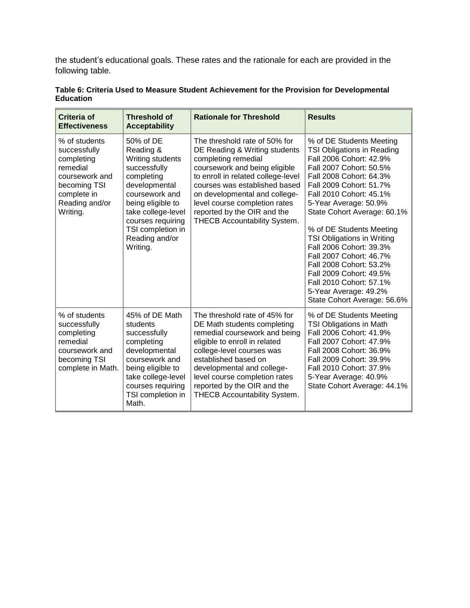the student's educational goals. These rates and the rationale for each are provided in the following table.

| <b>Criteria of</b><br><b>Effectiveness</b>                                                                                             | <b>Threshold of</b><br><b>Acceptability</b>                                                                                                                                                                                    | <b>Rationale for Threshold</b>                                                                                                                                                                                                                                                                                                 | <b>Results</b>                                                                                                                                                                                                                                                                                                                                                                                                                                                                                                               |
|----------------------------------------------------------------------------------------------------------------------------------------|--------------------------------------------------------------------------------------------------------------------------------------------------------------------------------------------------------------------------------|--------------------------------------------------------------------------------------------------------------------------------------------------------------------------------------------------------------------------------------------------------------------------------------------------------------------------------|------------------------------------------------------------------------------------------------------------------------------------------------------------------------------------------------------------------------------------------------------------------------------------------------------------------------------------------------------------------------------------------------------------------------------------------------------------------------------------------------------------------------------|
| % of students<br>successfully<br>completing<br>remedial<br>coursework and<br>becoming TSI<br>complete in<br>Reading and/or<br>Writing. | 50% of DE<br>Reading &<br>Writing students<br>successfully<br>completing<br>developmental<br>coursework and<br>being eligible to<br>take college-level<br>courses requiring<br>TSI completion in<br>Reading and/or<br>Writing. | The threshold rate of 50% for<br>DE Reading & Writing students<br>completing remedial<br>coursework and being eligible<br>to enroll in related college-level<br>courses was established based<br>on developmental and college-<br>level course completion rates<br>reported by the OIR and the<br>THECB Accountability System. | % of DE Students Meeting<br><b>TSI Obligations in Reading</b><br>Fall 2006 Cohort: 42.9%<br>Fall 2007 Cohort: 50.5%<br>Fall 2008 Cohort: 64.3%<br>Fall 2009 Cohort: 51.7%<br>Fall 2010 Cohort: 45.1%<br>5-Year Average: 50.9%<br>State Cohort Average: 60.1%<br>% of DE Students Meeting<br><b>TSI Obligations in Writing</b><br>Fall 2006 Cohort: 39.3%<br>Fall 2007 Cohort: 46.7%<br>Fall 2008 Cohort: 53.2%<br>Fall 2009 Cohort: 49.5%<br>Fall 2010 Cohort: 57.1%<br>5-Year Average: 49.2%<br>State Cohort Average: 56.6% |
| % of students<br>successfully<br>completing<br>remedial<br>coursework and<br>becoming TSI<br>complete in Math.                         | 45% of DE Math<br>students<br>successfully<br>completing<br>developmental<br>coursework and<br>being eligible to<br>take college-level<br>courses requiring<br>TSI completion in<br>Math.                                      | The threshold rate of 45% for<br>DE Math students completing<br>remedial coursework and being<br>eligible to enroll in related<br>college-level courses was<br>established based on<br>developmental and college-<br>level course completion rates<br>reported by the OIR and the<br>THECB Accountability System.              | % of DE Students Meeting<br><b>TSI Obligations in Math</b><br>Fall 2006 Cohort: 41.9%<br>Fall 2007 Cohort: 47.9%<br>Fall 2008 Cohort: 36.9%<br>Fall 2009 Cohort: 39.9%<br>Fall 2010 Cohort: 37.9%<br>5-Year Average: 40.9%<br>State Cohort Average: 44.1%                                                                                                                                                                                                                                                                    |

## **Table 6: Criteria Used to Measure Student Achievement for the Provision for Developmental Education**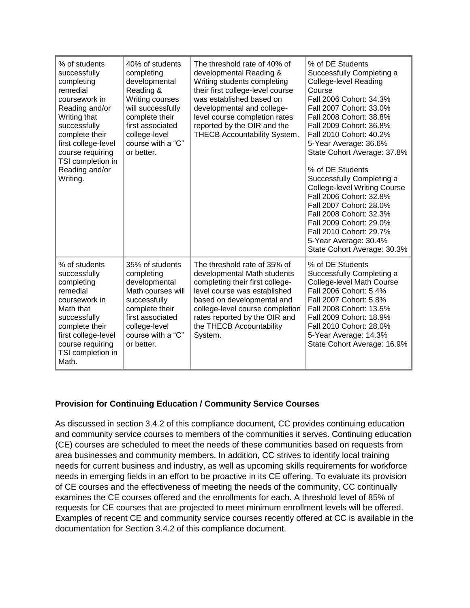| % of students<br>successfully<br>completing<br>remedial<br>coursework in<br>Reading and/or<br>Writing that<br>successfully<br>complete their<br>first college-level<br>course requiring<br>TSI completion in<br>Reading and/or<br>Writing. | 40% of students<br>completing<br>developmental<br>Reading &<br>Writing courses<br>will successfully<br>complete their<br>first associated<br>college-level<br>course with a "C"<br>or better. | The threshold rate of 40% of<br>developmental Reading &<br>Writing students completing<br>their first college-level course<br>was established based on<br>developmental and college-<br>level course completion rates<br>reported by the OIR and the<br>THECB Accountability System. | % of DE Students<br>Successfully Completing a<br><b>College-level Reading</b><br>Course<br>Fall 2006 Cohort: 34.3%<br>Fall 2007 Cohort: 33.0%<br>Fall 2008 Cohort: 38.8%<br>Fall 2009 Cohort: 36.8%<br>Fall 2010 Cohort: 40.2%<br>5-Year Average: 36.6%<br>State Cohort Average: 37.8%<br>% of DE Students<br>Successfully Completing a<br><b>College-level Writing Course</b><br>Fall 2006 Cohort: 32.8%<br>Fall 2007 Cohort: 28.0%<br>Fall 2008 Cohort: 32.3%<br>Fall 2009 Cohort: 29.0%<br>Fall 2010 Cohort: 29.7%<br>5-Year Average: 30.4%<br>State Cohort Average: 30.3% |
|--------------------------------------------------------------------------------------------------------------------------------------------------------------------------------------------------------------------------------------------|-----------------------------------------------------------------------------------------------------------------------------------------------------------------------------------------------|--------------------------------------------------------------------------------------------------------------------------------------------------------------------------------------------------------------------------------------------------------------------------------------|-------------------------------------------------------------------------------------------------------------------------------------------------------------------------------------------------------------------------------------------------------------------------------------------------------------------------------------------------------------------------------------------------------------------------------------------------------------------------------------------------------------------------------------------------------------------------------|
| % of students<br>successfully<br>completing<br>remedial<br>coursework in<br>Math that<br>successfully<br>complete their<br>first college-level<br>course requiring<br>TSI completion in<br>Math.                                           | 35% of students<br>completing<br>developmental<br>Math courses will<br>successfully<br>complete their<br>first associated<br>college-level<br>course with a "C"<br>or better.                 | The threshold rate of 35% of<br>developmental Math students<br>completing their first college-<br>level course was established<br>based on developmental and<br>college-level course completion<br>rates reported by the OIR and<br>the THECB Accountability<br>System.              | % of DE Students<br>Successfully Completing a<br><b>College-level Math Course</b><br>Fall 2006 Cohort: 5.4%<br>Fall 2007 Cohort: 5.8%<br>Fall 2008 Cohort: 13.5%<br>Fall 2009 Cohort: 18.9%<br>Fall 2010 Cohort: 28.0%<br>5-Year Average: 14.3%<br>State Cohort Average: 16.9%                                                                                                                                                                                                                                                                                                |

## **Provision for Continuing Education / Community Service Courses**

As discussed in section 3.4.2 of this compliance document, CC provides continuing education and community service courses to members of the communities it serves. Continuing education (CE) courses are scheduled to meet the needs of these communities based on requests from area businesses and community members. In addition, CC strives to identify local training needs for current business and industry, as well as upcoming skills requirements for workforce needs in emerging fields in an effort to be proactive in its CE offering. To evaluate its provision of CE courses and the effectiveness of meeting the needs of the community, CC continually examines the CE courses offered and the enrollments for each. A threshold level of 85% of requests for CE courses that are projected to meet minimum enrollment levels will be offered. Examples of recent CE and community service courses recently offered at CC is available in the documentation for Section 3.4.2 of this compliance document.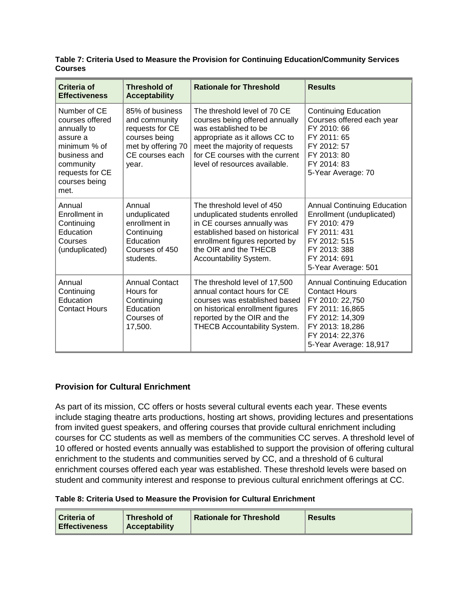| <b>Courses</b> |                   | Table 7: Criteria Used to Measure the Provision for Continuing Education/Community Services |                   |
|----------------|-------------------|---------------------------------------------------------------------------------------------|-------------------|
| $\int$         | $Th$ resoluted at | Detianale for Throphold                                                                     | $D_{\text{aaulia$ |

| Criteria of<br><b>Effectiveness</b>                                                                                                                 | <b>Threshold of</b><br><b>Acceptability</b>                                                                            | <b>Rationale for Threshold</b>                                                                                                                                                                                                 | <b>Results</b>                                                                                                                                                                      |
|-----------------------------------------------------------------------------------------------------------------------------------------------------|------------------------------------------------------------------------------------------------------------------------|--------------------------------------------------------------------------------------------------------------------------------------------------------------------------------------------------------------------------------|-------------------------------------------------------------------------------------------------------------------------------------------------------------------------------------|
| Number of CE<br>courses offered<br>annually to<br>assure a<br>minimum % of<br>business and<br>community<br>requests for CE<br>courses being<br>met. | 85% of business<br>and community<br>requests for CE<br>courses being<br>met by offering 70<br>CE courses each<br>year. | The threshold level of 70 CE<br>courses being offered annually<br>was established to be<br>appropriate as it allows CC to<br>meet the majority of requests<br>for CE courses with the current<br>level of resources available. | <b>Continuing Education</b><br>Courses offered each year<br>FY 2010: 66<br>FY 2011: 65<br>FY 2012: 57<br>FY 2013: 80<br>FY 2014: 83<br>5-Year Average: 70                           |
| Annual<br>Enrollment in<br>Continuing<br>Education<br>Courses<br>(unduplicated)                                                                     | Annual<br>unduplicated<br>enrollment in<br>Continuing<br>Education<br>Courses of 450<br>students.                      | The threshold level of 450<br>unduplicated students enrolled<br>in CE courses annually was<br>established based on historical<br>enrollment figures reported by<br>the OIR and the THECB<br>Accountability System.             | <b>Annual Continuing Education</b><br>Enrollment (unduplicated)<br>FY 2010: 479<br>FY 2011: 431<br>FY 2012: 515<br>FY 2013: 388<br>FY 2014: 691<br>5-Year Average: 501              |
| Annual<br>Continuing<br>Education<br><b>Contact Hours</b>                                                                                           | <b>Annual Contact</b><br>Hours for<br>Continuing<br>Education<br>Courses of<br>17,500.                                 | The threshold level of 17,500<br>annual contact hours for CE<br>courses was established based<br>on historical enrollment figures<br>reported by the OIR and the<br>THECB Accountability System.                               | <b>Annual Continuing Education</b><br><b>Contact Hours</b><br>FY 2010: 22,750<br>FY 2011: 16,865<br>FY 2012: 14,309<br>FY 2013: 18,286<br>FY 2014: 22,376<br>5-Year Average: 18,917 |

# **Provision for Cultural Enrichment**

As part of its mission, CC offers or hosts several cultural events each year. These events include staging theatre arts productions, hosting art shows, providing lectures and presentations from invited guest speakers, and offering courses that provide cultural enrichment including courses for CC students as well as members of the communities CC serves. A threshold level of 10 offered or hosted events annually was established to support the provision of offering cultural enrichment to the students and communities served by CC, and a threshold of 6 cultural enrichment courses offered each year was established. These threshold levels were based on student and community interest and response to previous cultural enrichment offerings at CC.

#### **Table 8: Criteria Used to Measure the Provision for Cultural Enrichment**

| l Criteria of        | <b>Threshold of</b>  | <b>Rationale for Threshold</b> | <b>Results</b> |
|----------------------|----------------------|--------------------------------|----------------|
| <b>Effectiveness</b> | <b>Acceptability</b> |                                |                |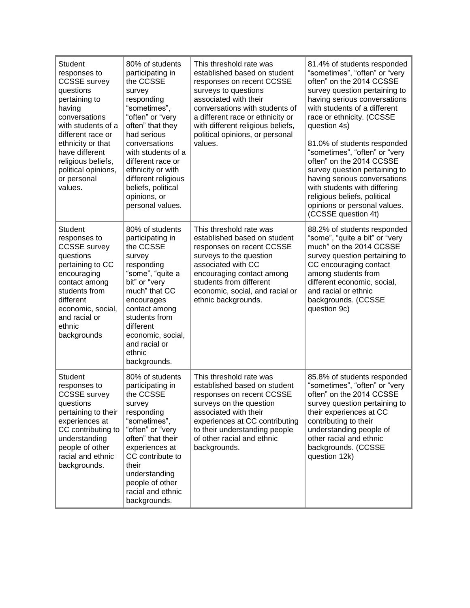| <b>Student</b><br>responses to<br><b>CCSSE</b> survey<br>questions<br>pertaining to<br>having<br>conversations<br>with students of a<br>different race or<br>ethnicity or that<br>have different<br>religious beliefs,<br>political opinions,<br>or personal<br>values. | 80% of students<br>participating in<br>the CCSSE<br>survey<br>responding<br>"sometimes",<br>"often" or "very<br>often" that they<br>had serious<br>conversations<br>with students of a<br>different race or<br>ethnicity or with<br>different religious<br>beliefs, political<br>opinions, or<br>personal values. | This threshold rate was<br>established based on student<br>responses on recent CCSSE<br>surveys to questions<br>associated with their<br>conversations with students of<br>a different race or ethnicity or<br>with different religious beliefs,<br>political opinions, or personal<br>values. | 81.4% of students responded<br>"sometimes", "often" or "very<br>often" on the 2014 CCSSE<br>survey question pertaining to<br>having serious conversations<br>with students of a different<br>race or ethnicity. (CCSSE<br>question 4s)<br>81.0% of students responded<br>"sometimes", "often" or "very<br>often" on the 2014 CCSSE<br>survey question pertaining to<br>having serious conversations<br>with students with differing<br>religious beliefs, political<br>opinions or personal values.<br>(CCSSE question 4t) |
|-------------------------------------------------------------------------------------------------------------------------------------------------------------------------------------------------------------------------------------------------------------------------|-------------------------------------------------------------------------------------------------------------------------------------------------------------------------------------------------------------------------------------------------------------------------------------------------------------------|------------------------------------------------------------------------------------------------------------------------------------------------------------------------------------------------------------------------------------------------------------------------------------------------|----------------------------------------------------------------------------------------------------------------------------------------------------------------------------------------------------------------------------------------------------------------------------------------------------------------------------------------------------------------------------------------------------------------------------------------------------------------------------------------------------------------------------|
| <b>Student</b><br>responses to<br><b>CCSSE</b> survey<br>questions<br>pertaining to CC<br>encouraging<br>contact among<br>students from<br>different<br>economic, social,<br>and racial or<br>ethnic<br>backgrounds                                                     | 80% of students<br>participating in<br>the CCSSE<br>survey<br>responding<br>"some", "quite a<br>bit" or "very<br>much" that CC<br>encourages<br>contact among<br>students from<br>different<br>economic, social,<br>and racial or<br>ethnic<br>backgrounds.                                                       | This threshold rate was<br>established based on student<br>responses on recent CCSSE<br>surveys to the question<br>associated with CC<br>encouraging contact among<br>students from different<br>economic, social, and racial or<br>ethnic backgrounds.                                        | 88.2% of students responded<br>"some", "quite a bit" or "very<br>much" on the 2014 CCSSE<br>survey question pertaining to<br>CC encouraging contact<br>among students from<br>different economic, social,<br>and racial or ethnic<br>backgrounds. (CCSSE<br>question 9c)                                                                                                                                                                                                                                                   |
| <b>Student</b><br>responses to<br><b>CCSSE</b> survey<br>questions<br>pertaining to their<br>experiences at<br>CC contributing to<br>understanding<br>people of other<br>racial and ethnic<br>backgrounds.                                                              | 80% of students<br>participating in<br>the CCSSE<br>survey<br>responding<br>"sometimes",<br>"often" or "very<br>often" that their<br>experiences at<br>CC contribute to<br>their<br>understanding<br>people of other<br>racial and ethnic<br>backgrounds.                                                         | This threshold rate was<br>established based on student<br>responses on recent CCSSE<br>surveys on the question<br>associated with their<br>experiences at CC contributing<br>to their understanding people<br>of other racial and ethnic<br>backgrounds.                                      | 85.8% of students responded<br>"sometimes", "often" or "very<br>often" on the 2014 CCSSE<br>survey question pertaining to<br>their experiences at CC<br>contributing to their<br>understanding people of<br>other racial and ethnic<br>backgrounds. (CCSSE<br>question 12k)                                                                                                                                                                                                                                                |